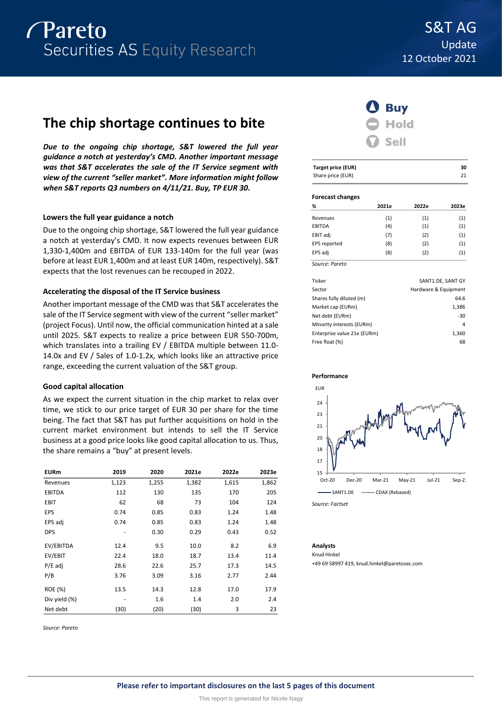# **The chip shortage continues to bite**

*Due to the ongoing chip shortage, S&T lowered the full year guidance a notch at yesterday's CMD. Another important message was that S&T accelerates the sale of the IT Service segment with view of the current "seller market". More information might follow when S&T reports Q3 numbers on 4/11/21. Buy, TP EUR 30.*

# **Lowers the full year guidance a notch**

Due to the ongoing chip shortage, S&T lowered the full year guidance a notch at yesterday's CMD. It now expects revenues between EUR 1,330-1,400m and EBITDA of EUR 133-140m for the full year (was before at least EUR 1,400m and at least EUR 140m, respectively). S&T expects that the lost revenues can be recouped in 2022.

# **Accelerating the disposal of the IT Service business**

Another important message of the CMD was that S&T accelerates the sale of the IT Service segment with view of the current "seller market" (project Focus). Until now, the official communication hinted at a sale until 2025. S&T expects to realize a price between EUR 550-700m, which translates into a trailing EV / EBITDA multiple between 11.0-14.0x and EV / Sales of 1.0-1.2x, which looks like an attractive price range, exceeding the current valuation of the S&T group.

# **Good capital allocation**

As we expect the current situation in the chip market to relax over time, we stick to our price target of EUR 30 per share for the time being. The fact that S&T has put further acquisitions on hold in the current market environment but intends to sell the IT Service business at a good price looks like good capital allocation to us. Thus, the share remains a "buy" at present levels.

| <b>EURm</b>   | 2019  | 2020  | 2021e | 2022e | 2023e |
|---------------|-------|-------|-------|-------|-------|
| Revenues      | 1,123 | 1,255 | 1,382 | 1,615 | 1,862 |
| <b>EBITDA</b> | 112   | 130   | 135   | 170   | 205   |
| EBIT          | 62    | 68    | 73    | 104   | 124   |
| EPS           | 0.74  | 0.85  | 0.83  | 1.24  | 1.48  |
| EPS adj       | 0.74  | 0.85  | 0.83  | 1.24  | 1.48  |
| <b>DPS</b>    |       | 0.30  | 0.29  | 0.43  | 0.52  |
| EV/EBITDA     | 12.4  | 9.5   | 10.0  | 8.2   | 6.9   |
| EV/EBIT       | 22.4  | 18.0  | 18.7  | 13.4  | 11.4  |
| $P/E$ adj     | 28.6  | 22.6  | 25.7  | 17.3  | 14.5  |
| P/B           | 3.76  | 3.09  | 3.16  | 2.77  | 2.44  |
| ROE (%)       | 13.5  | 14.3  | 12.8  | 17.0  | 17.9  |
| Div yield (%) |       | 1.6   | 1.4   | 2.0   | 2.4   |
| Net debt      | (30)  | (20)  | (30)  | 3     | 23    |

*Source: Pareto*



| <b>Target price (EUR)</b> | 30 |
|---------------------------|----|
| Share price (EUR)         | 21 |

#### **Forecast changes**

| %              | 2021e | 2022e | 2023e |
|----------------|-------|-------|-------|
| Revenues       | (1)   | (1)   | (1)   |
| EBITDA         | (4)   | (1)   | (1)   |
| EBIT adj       | (7)   | (2)   | (1)   |
| EPS reported   | (8)   | (2)   | (1)   |
| EPS adj        | (8)   | (2)   | (1)   |
| Source: Pareto |       |       |       |

| Ticker                      | SANT1.DE, SANT GY    |
|-----------------------------|----------------------|
| Sector                      | Hardware & Equipment |
| Shares fully diluted (m)    | 64.6                 |
| Market cap (EURm)           | 1,386                |
| Net debt (EURm)             | $-30$                |
| Minority interests (EURm)   | 4                    |
| Enterprise value 21e (EURm) | 1,360                |
| Free float (%)              | 68                   |
|                             |                      |





*Source: Factset*

#### **Analysts**

Knud Hinkel

+49 69 58997 419, knud.hinkel@paretosec.com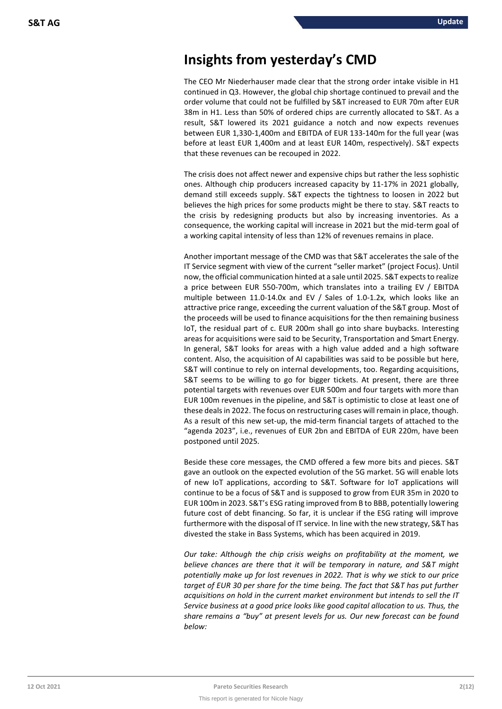# **Insights from yesterday's CMD**

The CEO Mr Niederhauser made clear that the strong order intake visible in H1 continued in Q3. However, the global chip shortage continued to prevail and the order volume that could not be fulfilled by S&T increased to EUR 70m after EUR 38m in H1. Less than 50% of ordered chips are currently allocated to S&T. As a result, S&T lowered its 2021 guidance a notch and now expects revenues between EUR 1,330-1,400m and EBITDA of EUR 133-140m for the full year (was before at least EUR 1,400m and at least EUR 140m, respectively). S&T expects that these revenues can be recouped in 2022.

The crisis does not affect newer and expensive chips but rather the less sophistic ones. Although chip producers increased capacity by 11-17% in 2021 globally, demand still exceeds supply. S&T expects the tightness to loosen in 2022 but believes the high prices for some products might be there to stay. S&T reacts to the crisis by redesigning products but also by increasing inventories. As a consequence, the working capital will increase in 2021 but the mid-term goal of a working capital intensity of less than 12% of revenues remains in place.

Another important message of the CMD was that S&T accelerates the sale of the IT Service segment with view of the current "seller market" (project Focus). Until now, the official communication hinted at a sale until 2025. S&T expects to realize a price between EUR 550-700m, which translates into a trailing EV / EBITDA multiple between 11.0-14.0x and EV / Sales of 1.0-1.2x, which looks like an attractive price range, exceeding the current valuation of the S&T group. Most of the proceeds will be used to finance acquisitions for the then remaining business IoT, the residual part of c. EUR 200m shall go into share buybacks. Interesting areas for acquisitions were said to be Security, Transportation and Smart Energy. In general, S&T looks for areas with a high value added and a high software content. Also, the acquisition of AI capabilities was said to be possible but here, S&T will continue to rely on internal developments, too. Regarding acquisitions, S&T seems to be willing to go for bigger tickets. At present, there are three potential targets with revenues over EUR 500m and four targets with more than EUR 100m revenues in the pipeline, and S&T is optimistic to close at least one of these deals in 2022. The focus on restructuring cases will remain in place, though. As a result of this new set-up, the mid-term financial targets of attached to the "agenda 2023", i.e., revenues of EUR 2bn and EBITDA of EUR 220m, have been postponed until 2025.

Beside these core messages, the CMD offered a few more bits and pieces. S&T gave an outlook on the expected evolution of the 5G market. 5G will enable lots of new IoT applications, according to S&T. Software for IoT applications will continue to be a focus of S&T and is supposed to grow from EUR 35m in 2020 to EUR 100m in 2023. S&T's ESG rating improved from B to BBB, potentially lowering future cost of debt financing. So far, it is unclear if the ESG rating will improve furthermore with the disposal of IT service. In line with the new strategy, S&T has divested the stake in Bass Systems, which has been acquired in 2019.

*Our take: Although the chip crisis weighs on profitability at the moment, we believe chances are there that it will be temporary in nature, and S&T might potentially make up for lost revenues in 2022. That is why we stick to our price target of EUR 30 per share for the time being. The fact that S&T has put further acquisitions on hold in the current market environment but intends to sell the IT Service business at a good price looks like good capital allocation to us. Thus, the share remains a "buy" at present levels for us. Our new forecast can be found below:*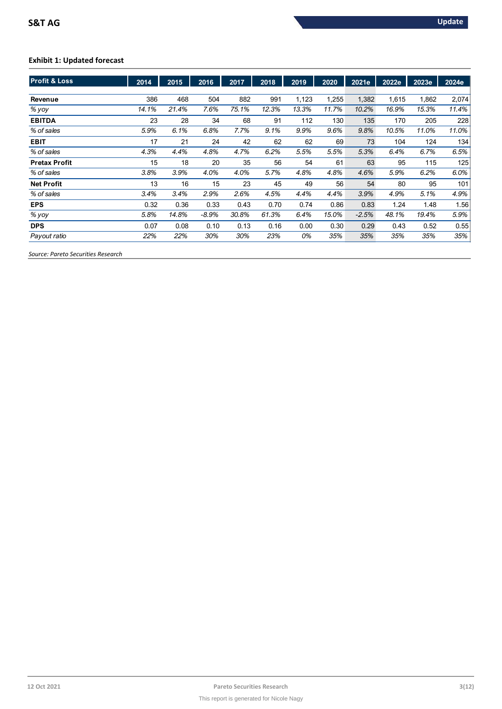# **Exhibit 1: Updated forecast**

| <b>Profit &amp; Loss</b> | 2014  | 2015  | 2016    | 2017  | 2018  | 2019  | 2020  | 2021e   | 2022e | 2023e | 2024e |
|--------------------------|-------|-------|---------|-------|-------|-------|-------|---------|-------|-------|-------|
|                          |       |       |         |       |       |       |       |         |       |       |       |
| Revenue                  | 386   | 468   | 504     | 882   | 991   | 1,123 | 1,255 | 1,382   | 1.615 | 1,862 | 2,074 |
| % yoy                    | 14.1% | 21.4% | 7.6%    | 75.1% | 12.3% | 13.3% | 11.7% | 10.2%   | 16.9% | 15.3% | 11.4% |
| <b>EBITDA</b>            | 23    | 28    | 34      | 68    | 91    | 112   | 130   | 135     | 170   | 205   | 228   |
| % of sales               | 5.9%  | 6.1%  | 6.8%    | 7.7%  | 9.1%  | 9.9%  | 9.6%  | 9.8%    | 10.5% | 11.0% | 11.0% |
| <b>EBIT</b>              | 17    | 21    | 24      | 42    | 62    | 62    | 69    | 73      | 104   | 124   | 134   |
| % of sales               | 4.3%  | 4.4%  | 4.8%    | 4.7%  | 6.2%  | 5.5%  | 5.5%  | 5.3%    | 6.4%  | 6.7%  | 6.5%  |
| <b>Pretax Profit</b>     | 15    | 18    | 20      | 35    | 56    | 54    | 61    | 63      | 95    | 115   | 125   |
| % of sales               | 3.8%  | 3.9%  | 4.0%    | 4.0%  | 5.7%  | 4.8%  | 4.8%  | 4.6%    | 5.9%  | 6.2%  | 6.0%  |
| <b>Net Profit</b>        | 13    | 16    | 15      | 23    | 45    | 49    | 56    | 54      | 80    | 95    | 101   |
| % of sales               | 3.4%  | 3.4%  | 2.9%    | 2.6%  | 4.5%  | 4.4%  | 4.4%  | 3.9%    | 4.9%  | 5.1%  | 4.9%  |
| <b>EPS</b>               | 0.32  | 0.36  | 0.33    | 0.43  | 0.70  | 0.74  | 0.86  | 0.83    | 1.24  | 1.48  | 1.56  |
| % yoy                    | 5.8%  | 14.8% | $-8.9%$ | 30.8% | 61.3% | 6.4%  | 15.0% | $-2.5%$ | 48.1% | 19.4% | 5.9%  |
| <b>DPS</b>               | 0.07  | 0.08  | 0.10    | 0.13  | 0.16  | 0.00  | 0.30  | 0.29    | 0.43  | 0.52  | 0.55  |
| Payout ratio             | 22%   | 22%   | 30%     | 30%   | 23%   | 0%    | 35%   | 35%     | 35%   | 35%   | 35%   |

*Source: Pareto Securities Research*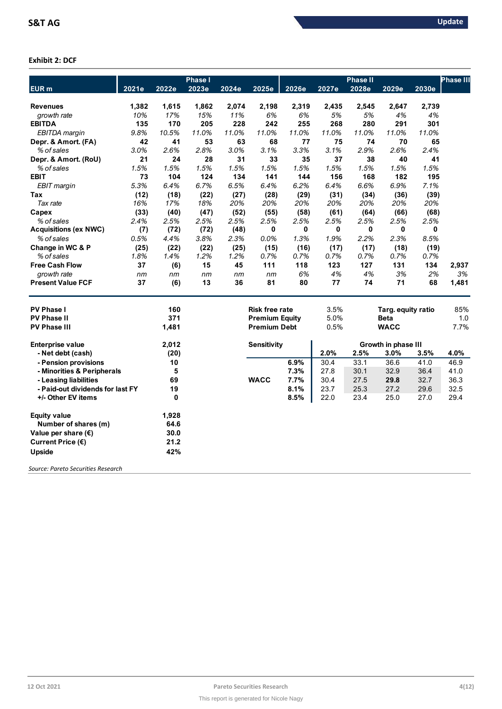# **Exhibit 2: DCF**

|                                    |       |          | <b>Phase I</b> |       |                       |       |       | <b>Phase II</b> |                     |       | <b>Phase III</b> |
|------------------------------------|-------|----------|----------------|-------|-----------------------|-------|-------|-----------------|---------------------|-------|------------------|
| EUR <sub>m</sub>                   | 2021e | 2022e    | 2023e          | 2024e | 2025e                 | 2026e | 2027e | 2028e           | 2029e               | 2030e |                  |
|                                    |       |          |                |       |                       |       |       |                 |                     |       |                  |
| <b>Revenues</b>                    | 1,382 | 1,615    | 1,862          | 2,074 | 2,198                 | 2,319 | 2,435 | 2,545           | 2,647               | 2,739 |                  |
| growth rate                        | 10%   | 17%      | 15%            | 11%   | 6%                    | 6%    | 5%    | 5%              | 4%                  | 4%    |                  |
| <b>EBITDA</b>                      | 135   | 170      | 205            | 228   | 242                   | 255   | 268   | 280             | 291                 | 301   |                  |
| EBITDA margin                      | 9.8%  | 10.5%    | 11.0%          | 11.0% | 11.0%                 | 11.0% | 11.0% | 11.0%           | 11.0%               | 11.0% |                  |
| Depr. & Amort. (FA)                | 42    | 41       | 53             | 63    | 68                    | 77    | 75    | 74              | 70                  | 65    |                  |
| % of sales                         | 3.0%  | 2.6%     | 2.8%           | 3.0%  | 3.1%                  | 3.3%  | 3.1%  | 2.9%            | 2.6%                | 2.4%  |                  |
| Depr. & Amort. (RoU)               | 21    | 24       | 28             | 31    | 33                    | 35    | 37    | 38              | 40                  | 41    |                  |
| % of sales                         | 1.5%  | 1.5%     | 1.5%           | 1.5%  | 1.5%                  | 1.5%  | 1.5%  | 1.5%            | 1.5%                | 1.5%  |                  |
| <b>EBIT</b>                        | 73    | 104      | 124            | 134   | 141                   | 144   | 156   | 168             | 182                 | 195   |                  |
| EBIT margin                        | 5.3%  | 6.4%     | 6.7%           | 6.5%  | 6.4%                  | 6.2%  | 6.4%  | 6.6%            | 6.9%                | 7.1%  |                  |
| Tax                                | (12)  | (18)     | (22)           | (27)  | (28)                  | (29)  | (31)  | (34)            | (36)                | (39)  |                  |
| Tax rate                           | 16%   | 17%      | 18%            | 20%   | 20%                   | 20%   | 20%   | 20%             | 20%                 | 20%   |                  |
| Capex                              | (33)  | (40)     | (47)           | (52)  | (55)                  | (58)  | (61)  | (64)            | (66)                | (68)  |                  |
| % of sales                         | 2.4%  | 2.5%     | 2.5%           | 2.5%  | 2.5%                  | 2.5%  | 2.5%  | 2.5%            | 2.5%                | 2.5%  |                  |
| <b>Acquisitions (ex NWC)</b>       | (7)   | (72)     | (72)           | (48)  | 0                     | 0     | 0     | 0               | 0                   | 0     |                  |
| % of sales                         | 0.5%  | 4.4%     | 3.8%           | 2.3%  | 0.0%                  | 1.3%  | 1.9%  | 2.2%            | 2.3%                | 8.5%  |                  |
| Change in WC & P                   | (25)  | (22)     | (22)           | (25)  | (15)                  | (16)  | (17)  | (17)            | (18)                | (19)  |                  |
| % of sales                         | 1.8%  | 1.4%     | 1.2%           | 1.2%  | 0.7%                  | 0.7%  | 0.7%  | 0.7%            | 0.7%                | 0.7%  |                  |
| <b>Free Cash Flow</b>              | 37    | (6)      | 15             | 45    | 111                   | 118   | 123   | 127             | 131                 | 134   | 2,937            |
| growth rate                        | nm    | nm       | nm             | nm    | nm                    | 6%    | 4%    | 4%              | 3%                  | 2%    | 3%               |
| <b>Present Value FCF</b>           | 37    | (6)      | 13             | 36    | 81                    | 80    | 77    | 74              | 71                  | 68    | 1,481            |
| <b>PV Phase I</b>                  |       | 160      |                |       | <b>Risk free rate</b> |       | 3.5%  |                 | Targ. equity ratio  |       | 85%              |
| <b>PV Phase II</b>                 |       | 371      |                |       | <b>Premium Equity</b> |       | 5.0%  |                 | <b>Beta</b>         |       | 1.0              |
| <b>PV Phase III</b>                |       | 1,481    |                |       | <b>Premium Debt</b>   |       | 0.5%  |                 | <b>WACC</b>         |       | 7.7%             |
| <b>Enterprise value</b>            |       | 2,012    |                |       | Sensitivity           |       |       |                 | Growth in phase III |       |                  |
| - Net debt (cash)                  |       | (20)     |                |       |                       |       | 2.0%  | 2.5%            | 3.0%                | 3.5%  | 4.0%             |
| - Pension provisions               |       | 10       |                |       |                       | 6.9%  | 30.4  | 33.1            | 36.6                | 41.0  | 46.9             |
| - Minorities & Peripherals         |       | 5        |                |       |                       | 7.3%  | 27.8  | 30.1            | 32.9                | 36.4  | 41.0             |
| - Leasing liabilities              |       | 69       |                |       | <b>WACC</b>           | 7.7%  | 30.4  | 27.5            | 29.8                | 32.7  | 36.3             |
| - Paid-out dividends for last FY   |       | 19       |                |       |                       | 8.1%  | 23.7  | 25.3            | 27.2                | 29.6  | 32.5             |
| +/- Other EV items                 |       | $\bf{0}$ |                |       |                       | 8.5%  | 22.0  | 23.4            | 25.0                | 27.0  | 29.4             |
| <b>Equity value</b>                |       | 1,928    |                |       |                       |       |       |                 |                     |       |                  |
| Number of shares (m)               |       | 64.6     |                |       |                       |       |       |                 |                     |       |                  |
| Value per share $(\epsilon)$       |       | 30.0     |                |       |                       |       |       |                 |                     |       |                  |
| Current Price (€)                  |       | 21.2     |                |       |                       |       |       |                 |                     |       |                  |
| Upside                             |       | 42%      |                |       |                       |       |       |                 |                     |       |                  |
| Courca: Darato Cacuritias Pasagrsh |       |          |                |       |                       |       |       |                 |                     |       |                  |

*Source: Pareto Securities Research*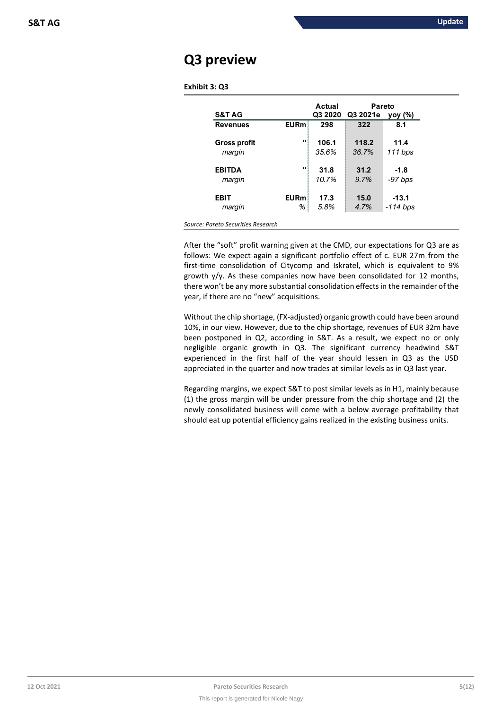# **Q3 preview**

| Exhibit 3: Q3 |  |  |
|---------------|--|--|
|---------------|--|--|

|                                    |             | Actual  | Pareto   |            |  |
|------------------------------------|-------------|---------|----------|------------|--|
| <b>S&amp;T AG</b>                  |             | Q3 2020 | Q3 2021e | yoy (%)    |  |
| <b>Revenues</b>                    | <b>EURm</b> | 298     | 322      | 8.1        |  |
|                                    | $\bullet$   |         |          |            |  |
| <b>Gross profit</b>                |             | 106.1   | 118.2    | 11.4       |  |
| margin                             |             | 35.6%   | 36.7%    | $111$ bps  |  |
|                                    |             |         |          |            |  |
| <b>EBITDA</b>                      | $\bullet$   | 31.8    | 31.2     | $-1.8$     |  |
| margin                             |             | 10.7%   | 9.7%     | $-97$ bps  |  |
|                                    |             |         |          |            |  |
| <b>EBIT</b>                        | <b>EURm</b> | 17.3    | 15.0     | $-13.1$    |  |
| margin                             | %           | 5.8%    | 4.7%     | $-114$ bps |  |
|                                    |             |         |          |            |  |
| Source: Pareto Securities Research |             |         |          |            |  |

After the "soft" profit warning given at the CMD, our expectations for Q3 are as follows: We expect again a significant portfolio effect of c. EUR 27m from the first-time consolidation of Citycomp and Iskratel, which is equivalent to 9% growth y/y. As these companies now have been consolidated for 12 months, there won't be any more substantial consolidation effects in the remainder of the year, if there are no "new" acquisitions.

Without the chip shortage, (FX-adjusted) organic growth could have been around 10%, in our view. However, due to the chip shortage, revenues of EUR 32m have been postponed in Q2, according in S&T. As a result, we expect no or only negligible organic growth in Q3. The significant currency headwind S&T experienced in the first half of the year should lessen in Q3 as the USD appreciated in the quarter and now trades at similar levels as in Q3 last year.

Regarding margins, we expect S&T to post similar levels as in H1, mainly because (1) the gross margin will be under pressure from the chip shortage and (2) the newly consolidated business will come with a below average profitability that should eat up potential efficiency gains realized in the existing business units.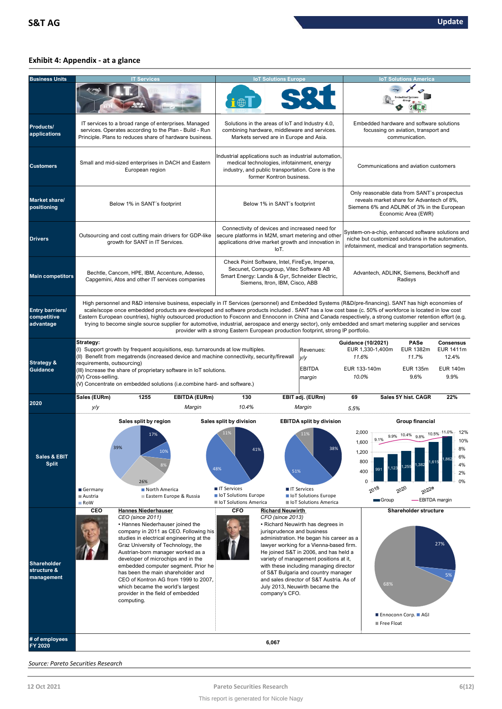# **Exhibit 4: Appendix - at a glance**

| <b>Business Units</b>                              | <b>IT Services</b>                                                                                                                                                                                                                                                                                                                                                                                                                                                                                                                                                                                                                                                                                                                |                                                                                                                                                                                                                                                                                  |                                                                                                                                                                                      | <b>IoT Solutions Europe</b>                                                                 |                                                                                                                                                                                                                                                                                                                                                                            |                                                                                    | <b>IoT Solutions America</b>                                                                       |                                                                           |  |
|----------------------------------------------------|-----------------------------------------------------------------------------------------------------------------------------------------------------------------------------------------------------------------------------------------------------------------------------------------------------------------------------------------------------------------------------------------------------------------------------------------------------------------------------------------------------------------------------------------------------------------------------------------------------------------------------------------------------------------------------------------------------------------------------------|----------------------------------------------------------------------------------------------------------------------------------------------------------------------------------------------------------------------------------------------------------------------------------|--------------------------------------------------------------------------------------------------------------------------------------------------------------------------------------|---------------------------------------------------------------------------------------------|----------------------------------------------------------------------------------------------------------------------------------------------------------------------------------------------------------------------------------------------------------------------------------------------------------------------------------------------------------------------------|------------------------------------------------------------------------------------|----------------------------------------------------------------------------------------------------|---------------------------------------------------------------------------|--|
|                                                    |                                                                                                                                                                                                                                                                                                                                                                                                                                                                                                                                                                                                                                                                                                                                   |                                                                                                                                                                                                                                                                                  |                                                                                                                                                                                      |                                                                                             |                                                                                                                                                                                                                                                                                                                                                                            |                                                                                    |                                                                                                    |                                                                           |  |
| Products/<br>applications                          | IT services to a broad range of enterprises. Managed<br>services. Operates according to the Plan - Build - Run<br>Principle. Plans to reduces share of hardware business.                                                                                                                                                                                                                                                                                                                                                                                                                                                                                                                                                         |                                                                                                                                                                                                                                                                                  | combining hardware, middleware and services.                                                                                                                                         | Solutions in the areas of loT and Industry 4.0,<br>Markets served are in Europe and Asia.   |                                                                                                                                                                                                                                                                                                                                                                            |                                                                                    | Embedded hardware and software solutions<br>focussing on aviation, transport and<br>communication. |                                                                           |  |
| <b>Customers</b>                                   | Small and mid-sized enterprises in DACH and Eastern<br>European region                                                                                                                                                                                                                                                                                                                                                                                                                                                                                                                                                                                                                                                            |                                                                                                                                                                                                                                                                                  | Industrial applications such as industrial automation,<br>medical technologies, infotainment, energy<br>industry, and public transportation. Core is the<br>former Kontron business. |                                                                                             |                                                                                                                                                                                                                                                                                                                                                                            | Communications and aviation customers                                              |                                                                                                    |                                                                           |  |
| Market share/<br>positioning                       | Below 1% in SANT's footprint                                                                                                                                                                                                                                                                                                                                                                                                                                                                                                                                                                                                                                                                                                      | Below 1% in SANT's footprint                                                                                                                                                                                                                                                     |                                                                                                                                                                                      |                                                                                             | Only reasonable data from SANT's prospectus<br>reveals market share for Advantech of 8%,<br>Siemens 6% and ADLINK of 3% in the European<br>Economic Area (EWR)                                                                                                                                                                                                             |                                                                                    |                                                                                                    |                                                                           |  |
| <b>Drivers</b>                                     | Connectivity of devices and increased need for<br>System-on-a-chip, enhanced software solutions and<br>secure platforms in M2M, smart metering and other<br>Outsourcing and cost cutting main drivers for GDP-like<br>niche but customized solutions in the automation,<br>growth for SANT in IT Services.<br>applications drive market growth and innovation in<br>infotainment, medical and transportation segments.<br>IoT.                                                                                                                                                                                                                                                                                                    |                                                                                                                                                                                                                                                                                  |                                                                                                                                                                                      |                                                                                             |                                                                                                                                                                                                                                                                                                                                                                            |                                                                                    |                                                                                                    |                                                                           |  |
| <b>Main competitors</b>                            | Check Point Software, Intel, FireEye, Imperva,<br>Secunet, Compugroup, Vitec Software AB<br>Bechtle, Cancom, HPE, IBM, Accenture, Adesso,<br>Smart Energy: Landis & Gyr, Schneider Electric,<br>Capgemini, Atos and other IT services companies<br>Siemens, Itron, IBM, Cisco, ABB                                                                                                                                                                                                                                                                                                                                                                                                                                                |                                                                                                                                                                                                                                                                                  |                                                                                                                                                                                      |                                                                                             |                                                                                                                                                                                                                                                                                                                                                                            |                                                                                    | Advantech, ADLINK, Siemens, Beckhoff and<br>Radisys                                                |                                                                           |  |
| <b>Entry barriers/</b><br>competitive<br>advantage | High personnel and R&D intensive business, especially in IT Services (personnel) and Embedded Systems (R&D/pre-financing). SANT has high economies of<br>scale/scope once embedded products are developed and software products included . SANT has a low cost base (c. 50% of workforce is located in low cost<br>Eastern European countries), highly outsourced production to Foxconn and Ennoconn in China and Canada respectively, a strong customer retention effort (e.g.<br>trying to become single source supplier for automotive, industrial, aerospace and energy sector), only embedded and smart metering supplier and services<br>provider with a strong Eastern European production footprint, strong IP portfolio. |                                                                                                                                                                                                                                                                                  |                                                                                                                                                                                      |                                                                                             |                                                                                                                                                                                                                                                                                                                                                                            |                                                                                    |                                                                                                    |                                                                           |  |
| <b>Strategy &amp;</b><br><b>Guidance</b>           | Strategy:<br>(I) Support growth by frequent acquisitions, esp. turnarounds at low multiples.<br>(II) Benefit from megatrends (increased device and machine connectivity, security/firewall<br>requirements, outsourcing)<br>(III) Increase the share of proprietary software in IoT solutions.<br>(IV) Cross-selling.<br>(V) Concentrate on embedded solutions (i.e.combine hard- and software.)                                                                                                                                                                                                                                                                                                                                  |                                                                                                                                                                                                                                                                                  |                                                                                                                                                                                      |                                                                                             | Revenues:<br>y/y<br><b>EBITDA</b><br>margin                                                                                                                                                                                                                                                                                                                                | <b>Guidance (10/2021)</b><br>EUR 1,330-1,400m<br>11.6%<br>EUR 133-140m<br>10.0%    | PASe<br>EUR 1382m<br>11.7%<br><b>EUR 135m</b><br>9.6%                                              | <b>Consensus</b><br>EUR 1411m<br>12.4%<br><b>EUR 140m</b><br>9.9%         |  |
| 2020                                               | Sales (EURm)<br>1255<br>y/y                                                                                                                                                                                                                                                                                                                                                                                                                                                                                                                                                                                                                                                                                                       | <b>EBITDA (EURm)</b><br>Margin                                                                                                                                                                                                                                                   | 130<br>10.4%                                                                                                                                                                         |                                                                                             | EBIT adj. (EURm)<br>Margin                                                                                                                                                                                                                                                                                                                                                 | 69<br>5.5%                                                                         | Sales 5Y hist. CAGR                                                                                | 22%                                                                       |  |
| <b>Sales &amp; EBIT</b><br><b>Split</b>            | Sales split by region<br>17%<br>26%<br>Germany<br>North America<br>Austria<br>■ RoW                                                                                                                                                                                                                                                                                                                                                                                                                                                                                                                                                                                                                                               | 10%<br>Eastern Europe & Russia                                                                                                                                                                                                                                                   | Sales split by division<br>11%<br>48%<br><b>■ IT Services</b><br>loT Solutions Europe<br>loT Solutions America                                                                       | 51%                                                                                         | <b>EBITDA split by division</b><br>11%<br>■ IT Services<br>loT Solutions Europe<br>loT Solutions America                                                                                                                                                                                                                                                                   | 2,000<br>9.1%<br>1,600<br>1,200<br>800<br>400<br>$\mathbf 0$<br>$20^{18}$<br>Group | Group financial<br>9.9% 10.4% 9.8%<br>1,382<br>.255<br>$20^{20}$<br>2022e                          | 10.5% 11.0%<br>12%<br>10%<br>6%<br>4%<br>2%<br>0%<br><b>EBITDA</b> margin |  |
| <b>Shareholder</b><br>structure &<br>management    | CEO<br><b>Hannes Niederhauser</b><br>CEO (since 2011)<br>• Hannes Niederhauser joined the<br>Graz University of Technology, the<br>which became the world's largest<br>provider in the field of embedded<br>computing.                                                                                                                                                                                                                                                                                                                                                                                                                                                                                                            | company in 2011 as CEO. Following his<br>studies in electrical engineering at the<br>Austrian-born manager worked as a<br>developer of microchips and in the<br>embedded computer segment. Prior he<br>has been the main shareholder and<br>CEO of Kontron AG from 1999 to 2007, | <b>CFO</b>                                                                                                                                                                           | <b>Richard Neuwirth</b><br>CFO (since 2013)<br>jurisprudence and business<br>company's CFO. | • Richard Neuwirth has degrees in<br>administration. He began his career as a<br>lawyer working for a Vienna-based firm.<br>He joined S&T in 2006, and has held a<br>variety of management positions at it,<br>with these including managing director<br>of S&T Bulgaria and country manager<br>and sales director of S&T Austria. As of<br>July 2013, Neuwirth became the | 68%<br>Free Float                                                                  | Shareholder structure<br>■ Ennoconn Corp. ■ AGI                                                    | 27%<br>5%                                                                 |  |
| # of employees<br>FY 2020                          |                                                                                                                                                                                                                                                                                                                                                                                                                                                                                                                                                                                                                                                                                                                                   |                                                                                                                                                                                                                                                                                  |                                                                                                                                                                                      | 6,067                                                                                       |                                                                                                                                                                                                                                                                                                                                                                            |                                                                                    |                                                                                                    |                                                                           |  |

*Source: Pareto Securities Research*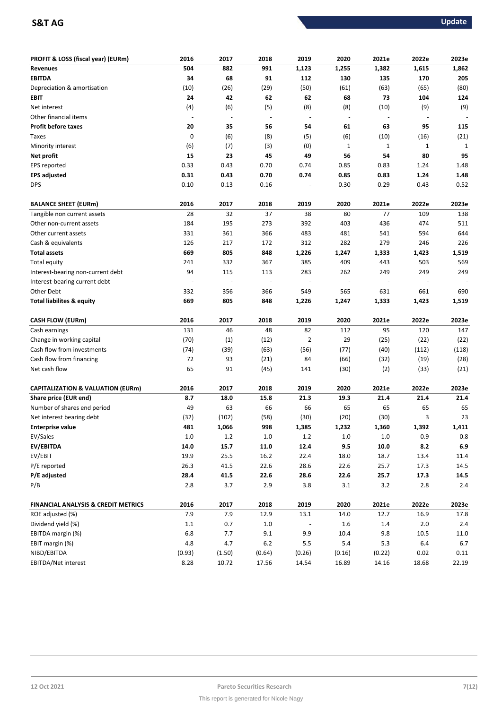# **S&T AG** Update

| 991<br>504<br>882<br>1,123<br>1,255<br>1,382<br>1,615<br>1,862<br><b>Revenues</b><br><b>EBITDA</b><br>34<br>68<br>91<br>112<br>130<br>135<br>205<br>170<br>(10)<br>(26)<br>(29)<br>(50)<br>(61)<br>(63)<br>(80)<br>Depreciation & amortisation<br>(65)<br>24<br>42<br>62<br>62<br>68<br>73<br>104<br>124<br>EBIT<br>(4)<br>(5)<br>(10)<br>(9)<br>(9)<br>Net interest<br>(6)<br>(8)<br>(8)<br>Other financial items<br>$\overline{a}$<br>$\blacksquare$<br>$\overline{\phantom{a}}$<br>$\blacksquare$<br>$\overline{a}$<br>÷,<br>95<br><b>Profit before taxes</b><br>20<br>35<br>56<br>54<br>61<br>63<br>115<br>0<br>(6)<br>(8)<br>(5)<br>(21)<br>(6)<br>(10)<br>(16)<br>Taxes<br>(6)<br>(7)<br>(3)<br>(0)<br>$1\,$<br>$\mathbf 1$<br>Minority interest<br>$\mathbf{1}$<br>1<br>15<br>95<br>23<br>45<br>49<br>56<br>54<br>80<br>Net profit<br>0.33<br>0.43<br>0.70<br>0.74<br>0.85<br>0.83<br>1.24<br>1.48<br>EPS reported<br>0.85<br>1.48<br>0.31<br>0.43<br>0.70<br>0.74<br>0.83<br>1.24<br><b>EPS adjusted</b><br>0.52<br><b>DPS</b><br>0.10<br>0.13<br>0.16<br>0.30<br>0.29<br>0.43<br>2016<br>2017<br>2018<br>2019<br>2020<br>2021e<br>2022e<br>2023e<br><b>BALANCE SHEET (EURm)</b><br>28<br>32<br>37<br>38<br>77<br>138<br>80<br>109<br>Tangible non current assets<br>184<br>195<br>273<br>392<br>403<br>436<br>474<br>511<br>Other non-current assets<br>331<br>361<br>366<br>481<br>541<br>594<br>644<br>Other current assets<br>483<br>Cash & equivalents<br>126<br>217<br>172<br>312<br>282<br>279<br>226<br>246<br><b>Total assets</b><br>669<br>805<br>848<br>1,226<br>1,247<br>1,333<br>1,423<br>1,519<br>385<br>409<br>443<br>503<br>569<br>Total equity<br>241<br>332<br>367<br>94<br>115<br>283<br>262<br>249<br>249<br>249<br>Interest-bearing non-current debt<br>113<br>Interest-bearing current debt<br>$\overline{a}$<br>$\overline{\phantom{m}}$<br>$\overline{\phantom{a}}$<br>Other Debt<br>356<br>332<br>366<br>549<br>565<br>631<br>661<br>690<br><b>Total liabilites &amp; equity</b><br>669<br>805<br>848<br>1,333<br>1,519<br>1,226<br>1,247<br>1,423<br>2016<br>2017<br>2018<br>2019<br>2020<br>2021e<br>2022e<br>2023e<br><b>CASH FLOW (EURm)</b><br>131<br>48<br>82<br>46<br>112<br>95<br>120<br>147<br>Cash earnings<br>(70)<br>29<br>(1)<br>(12)<br>2<br>(25)<br>(22)<br>(22)<br>Change in working capital<br>Cash flow from investments<br>(74)<br>(63)<br>(56)<br>(77)<br>(40)<br>(112)<br>(118)<br>(39)<br>Cash flow from financing<br>72<br>93<br>(21)<br>84<br>(66)<br>(32)<br>(19)<br>(28) |
|-------------------------------------------------------------------------------------------------------------------------------------------------------------------------------------------------------------------------------------------------------------------------------------------------------------------------------------------------------------------------------------------------------------------------------------------------------------------------------------------------------------------------------------------------------------------------------------------------------------------------------------------------------------------------------------------------------------------------------------------------------------------------------------------------------------------------------------------------------------------------------------------------------------------------------------------------------------------------------------------------------------------------------------------------------------------------------------------------------------------------------------------------------------------------------------------------------------------------------------------------------------------------------------------------------------------------------------------------------------------------------------------------------------------------------------------------------------------------------------------------------------------------------------------------------------------------------------------------------------------------------------------------------------------------------------------------------------------------------------------------------------------------------------------------------------------------------------------------------------------------------------------------------------------------------------------------------------------------------------------------------------------------------------------------------------------------------------------------------------------------------------------------------------------------------------------------------------------------------------------------------------------------------------------------------------------------------------------------------------------------------------------------------------------------------------------------------------------------------------------------------------------------------------|
|                                                                                                                                                                                                                                                                                                                                                                                                                                                                                                                                                                                                                                                                                                                                                                                                                                                                                                                                                                                                                                                                                                                                                                                                                                                                                                                                                                                                                                                                                                                                                                                                                                                                                                                                                                                                                                                                                                                                                                                                                                                                                                                                                                                                                                                                                                                                                                                                                                                                                                                                     |
|                                                                                                                                                                                                                                                                                                                                                                                                                                                                                                                                                                                                                                                                                                                                                                                                                                                                                                                                                                                                                                                                                                                                                                                                                                                                                                                                                                                                                                                                                                                                                                                                                                                                                                                                                                                                                                                                                                                                                                                                                                                                                                                                                                                                                                                                                                                                                                                                                                                                                                                                     |
|                                                                                                                                                                                                                                                                                                                                                                                                                                                                                                                                                                                                                                                                                                                                                                                                                                                                                                                                                                                                                                                                                                                                                                                                                                                                                                                                                                                                                                                                                                                                                                                                                                                                                                                                                                                                                                                                                                                                                                                                                                                                                                                                                                                                                                                                                                                                                                                                                                                                                                                                     |
|                                                                                                                                                                                                                                                                                                                                                                                                                                                                                                                                                                                                                                                                                                                                                                                                                                                                                                                                                                                                                                                                                                                                                                                                                                                                                                                                                                                                                                                                                                                                                                                                                                                                                                                                                                                                                                                                                                                                                                                                                                                                                                                                                                                                                                                                                                                                                                                                                                                                                                                                     |
|                                                                                                                                                                                                                                                                                                                                                                                                                                                                                                                                                                                                                                                                                                                                                                                                                                                                                                                                                                                                                                                                                                                                                                                                                                                                                                                                                                                                                                                                                                                                                                                                                                                                                                                                                                                                                                                                                                                                                                                                                                                                                                                                                                                                                                                                                                                                                                                                                                                                                                                                     |
|                                                                                                                                                                                                                                                                                                                                                                                                                                                                                                                                                                                                                                                                                                                                                                                                                                                                                                                                                                                                                                                                                                                                                                                                                                                                                                                                                                                                                                                                                                                                                                                                                                                                                                                                                                                                                                                                                                                                                                                                                                                                                                                                                                                                                                                                                                                                                                                                                                                                                                                                     |
|                                                                                                                                                                                                                                                                                                                                                                                                                                                                                                                                                                                                                                                                                                                                                                                                                                                                                                                                                                                                                                                                                                                                                                                                                                                                                                                                                                                                                                                                                                                                                                                                                                                                                                                                                                                                                                                                                                                                                                                                                                                                                                                                                                                                                                                                                                                                                                                                                                                                                                                                     |
|                                                                                                                                                                                                                                                                                                                                                                                                                                                                                                                                                                                                                                                                                                                                                                                                                                                                                                                                                                                                                                                                                                                                                                                                                                                                                                                                                                                                                                                                                                                                                                                                                                                                                                                                                                                                                                                                                                                                                                                                                                                                                                                                                                                                                                                                                                                                                                                                                                                                                                                                     |
|                                                                                                                                                                                                                                                                                                                                                                                                                                                                                                                                                                                                                                                                                                                                                                                                                                                                                                                                                                                                                                                                                                                                                                                                                                                                                                                                                                                                                                                                                                                                                                                                                                                                                                                                                                                                                                                                                                                                                                                                                                                                                                                                                                                                                                                                                                                                                                                                                                                                                                                                     |
|                                                                                                                                                                                                                                                                                                                                                                                                                                                                                                                                                                                                                                                                                                                                                                                                                                                                                                                                                                                                                                                                                                                                                                                                                                                                                                                                                                                                                                                                                                                                                                                                                                                                                                                                                                                                                                                                                                                                                                                                                                                                                                                                                                                                                                                                                                                                                                                                                                                                                                                                     |
|                                                                                                                                                                                                                                                                                                                                                                                                                                                                                                                                                                                                                                                                                                                                                                                                                                                                                                                                                                                                                                                                                                                                                                                                                                                                                                                                                                                                                                                                                                                                                                                                                                                                                                                                                                                                                                                                                                                                                                                                                                                                                                                                                                                                                                                                                                                                                                                                                                                                                                                                     |
|                                                                                                                                                                                                                                                                                                                                                                                                                                                                                                                                                                                                                                                                                                                                                                                                                                                                                                                                                                                                                                                                                                                                                                                                                                                                                                                                                                                                                                                                                                                                                                                                                                                                                                                                                                                                                                                                                                                                                                                                                                                                                                                                                                                                                                                                                                                                                                                                                                                                                                                                     |
|                                                                                                                                                                                                                                                                                                                                                                                                                                                                                                                                                                                                                                                                                                                                                                                                                                                                                                                                                                                                                                                                                                                                                                                                                                                                                                                                                                                                                                                                                                                                                                                                                                                                                                                                                                                                                                                                                                                                                                                                                                                                                                                                                                                                                                                                                                                                                                                                                                                                                                                                     |
|                                                                                                                                                                                                                                                                                                                                                                                                                                                                                                                                                                                                                                                                                                                                                                                                                                                                                                                                                                                                                                                                                                                                                                                                                                                                                                                                                                                                                                                                                                                                                                                                                                                                                                                                                                                                                                                                                                                                                                                                                                                                                                                                                                                                                                                                                                                                                                                                                                                                                                                                     |
|                                                                                                                                                                                                                                                                                                                                                                                                                                                                                                                                                                                                                                                                                                                                                                                                                                                                                                                                                                                                                                                                                                                                                                                                                                                                                                                                                                                                                                                                                                                                                                                                                                                                                                                                                                                                                                                                                                                                                                                                                                                                                                                                                                                                                                                                                                                                                                                                                                                                                                                                     |
|                                                                                                                                                                                                                                                                                                                                                                                                                                                                                                                                                                                                                                                                                                                                                                                                                                                                                                                                                                                                                                                                                                                                                                                                                                                                                                                                                                                                                                                                                                                                                                                                                                                                                                                                                                                                                                                                                                                                                                                                                                                                                                                                                                                                                                                                                                                                                                                                                                                                                                                                     |
|                                                                                                                                                                                                                                                                                                                                                                                                                                                                                                                                                                                                                                                                                                                                                                                                                                                                                                                                                                                                                                                                                                                                                                                                                                                                                                                                                                                                                                                                                                                                                                                                                                                                                                                                                                                                                                                                                                                                                                                                                                                                                                                                                                                                                                                                                                                                                                                                                                                                                                                                     |
|                                                                                                                                                                                                                                                                                                                                                                                                                                                                                                                                                                                                                                                                                                                                                                                                                                                                                                                                                                                                                                                                                                                                                                                                                                                                                                                                                                                                                                                                                                                                                                                                                                                                                                                                                                                                                                                                                                                                                                                                                                                                                                                                                                                                                                                                                                                                                                                                                                                                                                                                     |
|                                                                                                                                                                                                                                                                                                                                                                                                                                                                                                                                                                                                                                                                                                                                                                                                                                                                                                                                                                                                                                                                                                                                                                                                                                                                                                                                                                                                                                                                                                                                                                                                                                                                                                                                                                                                                                                                                                                                                                                                                                                                                                                                                                                                                                                                                                                                                                                                                                                                                                                                     |
|                                                                                                                                                                                                                                                                                                                                                                                                                                                                                                                                                                                                                                                                                                                                                                                                                                                                                                                                                                                                                                                                                                                                                                                                                                                                                                                                                                                                                                                                                                                                                                                                                                                                                                                                                                                                                                                                                                                                                                                                                                                                                                                                                                                                                                                                                                                                                                                                                                                                                                                                     |
|                                                                                                                                                                                                                                                                                                                                                                                                                                                                                                                                                                                                                                                                                                                                                                                                                                                                                                                                                                                                                                                                                                                                                                                                                                                                                                                                                                                                                                                                                                                                                                                                                                                                                                                                                                                                                                                                                                                                                                                                                                                                                                                                                                                                                                                                                                                                                                                                                                                                                                                                     |
|                                                                                                                                                                                                                                                                                                                                                                                                                                                                                                                                                                                                                                                                                                                                                                                                                                                                                                                                                                                                                                                                                                                                                                                                                                                                                                                                                                                                                                                                                                                                                                                                                                                                                                                                                                                                                                                                                                                                                                                                                                                                                                                                                                                                                                                                                                                                                                                                                                                                                                                                     |
|                                                                                                                                                                                                                                                                                                                                                                                                                                                                                                                                                                                                                                                                                                                                                                                                                                                                                                                                                                                                                                                                                                                                                                                                                                                                                                                                                                                                                                                                                                                                                                                                                                                                                                                                                                                                                                                                                                                                                                                                                                                                                                                                                                                                                                                                                                                                                                                                                                                                                                                                     |
|                                                                                                                                                                                                                                                                                                                                                                                                                                                                                                                                                                                                                                                                                                                                                                                                                                                                                                                                                                                                                                                                                                                                                                                                                                                                                                                                                                                                                                                                                                                                                                                                                                                                                                                                                                                                                                                                                                                                                                                                                                                                                                                                                                                                                                                                                                                                                                                                                                                                                                                                     |
|                                                                                                                                                                                                                                                                                                                                                                                                                                                                                                                                                                                                                                                                                                                                                                                                                                                                                                                                                                                                                                                                                                                                                                                                                                                                                                                                                                                                                                                                                                                                                                                                                                                                                                                                                                                                                                                                                                                                                                                                                                                                                                                                                                                                                                                                                                                                                                                                                                                                                                                                     |
|                                                                                                                                                                                                                                                                                                                                                                                                                                                                                                                                                                                                                                                                                                                                                                                                                                                                                                                                                                                                                                                                                                                                                                                                                                                                                                                                                                                                                                                                                                                                                                                                                                                                                                                                                                                                                                                                                                                                                                                                                                                                                                                                                                                                                                                                                                                                                                                                                                                                                                                                     |
|                                                                                                                                                                                                                                                                                                                                                                                                                                                                                                                                                                                                                                                                                                                                                                                                                                                                                                                                                                                                                                                                                                                                                                                                                                                                                                                                                                                                                                                                                                                                                                                                                                                                                                                                                                                                                                                                                                                                                                                                                                                                                                                                                                                                                                                                                                                                                                                                                                                                                                                                     |
|                                                                                                                                                                                                                                                                                                                                                                                                                                                                                                                                                                                                                                                                                                                                                                                                                                                                                                                                                                                                                                                                                                                                                                                                                                                                                                                                                                                                                                                                                                                                                                                                                                                                                                                                                                                                                                                                                                                                                                                                                                                                                                                                                                                                                                                                                                                                                                                                                                                                                                                                     |
|                                                                                                                                                                                                                                                                                                                                                                                                                                                                                                                                                                                                                                                                                                                                                                                                                                                                                                                                                                                                                                                                                                                                                                                                                                                                                                                                                                                                                                                                                                                                                                                                                                                                                                                                                                                                                                                                                                                                                                                                                                                                                                                                                                                                                                                                                                                                                                                                                                                                                                                                     |
|                                                                                                                                                                                                                                                                                                                                                                                                                                                                                                                                                                                                                                                                                                                                                                                                                                                                                                                                                                                                                                                                                                                                                                                                                                                                                                                                                                                                                                                                                                                                                                                                                                                                                                                                                                                                                                                                                                                                                                                                                                                                                                                                                                                                                                                                                                                                                                                                                                                                                                                                     |
| 65<br>Net cash flow<br>91<br>(45)<br>(30)<br>(2)<br>(21)<br>141<br>(33)                                                                                                                                                                                                                                                                                                                                                                                                                                                                                                                                                                                                                                                                                                                                                                                                                                                                                                                                                                                                                                                                                                                                                                                                                                                                                                                                                                                                                                                                                                                                                                                                                                                                                                                                                                                                                                                                                                                                                                                                                                                                                                                                                                                                                                                                                                                                                                                                                                                             |
|                                                                                                                                                                                                                                                                                                                                                                                                                                                                                                                                                                                                                                                                                                                                                                                                                                                                                                                                                                                                                                                                                                                                                                                                                                                                                                                                                                                                                                                                                                                                                                                                                                                                                                                                                                                                                                                                                                                                                                                                                                                                                                                                                                                                                                                                                                                                                                                                                                                                                                                                     |
| 2017<br>2018<br>2019<br>2020<br>2022e<br>2016<br>2021e<br>2023e<br><b>CAPITALIZATION &amp; VALUATION (EURm)</b>                                                                                                                                                                                                                                                                                                                                                                                                                                                                                                                                                                                                                                                                                                                                                                                                                                                                                                                                                                                                                                                                                                                                                                                                                                                                                                                                                                                                                                                                                                                                                                                                                                                                                                                                                                                                                                                                                                                                                                                                                                                                                                                                                                                                                                                                                                                                                                                                                     |
| 8.7<br>15.8<br>19.3<br>21.4<br>Share price (EUR end)<br>18.0<br>21.3<br>21.4<br>21.4                                                                                                                                                                                                                                                                                                                                                                                                                                                                                                                                                                                                                                                                                                                                                                                                                                                                                                                                                                                                                                                                                                                                                                                                                                                                                                                                                                                                                                                                                                                                                                                                                                                                                                                                                                                                                                                                                                                                                                                                                                                                                                                                                                                                                                                                                                                                                                                                                                                |
| 66<br>Number of shares end period<br>49<br>63<br>66<br>65<br>65<br>65<br>65                                                                                                                                                                                                                                                                                                                                                                                                                                                                                                                                                                                                                                                                                                                                                                                                                                                                                                                                                                                                                                                                                                                                                                                                                                                                                                                                                                                                                                                                                                                                                                                                                                                                                                                                                                                                                                                                                                                                                                                                                                                                                                                                                                                                                                                                                                                                                                                                                                                         |
| 23<br>Net interest bearing debt<br>(32)<br>(102)<br>(58)<br>(30)<br>(20)<br>(30)<br>3                                                                                                                                                                                                                                                                                                                                                                                                                                                                                                                                                                                                                                                                                                                                                                                                                                                                                                                                                                                                                                                                                                                                                                                                                                                                                                                                                                                                                                                                                                                                                                                                                                                                                                                                                                                                                                                                                                                                                                                                                                                                                                                                                                                                                                                                                                                                                                                                                                               |
| 481<br>1,066<br>998<br>1,385<br>1,232<br>1,360<br>1,392<br>1,411<br><b>Enterprise value</b>                                                                                                                                                                                                                                                                                                                                                                                                                                                                                                                                                                                                                                                                                                                                                                                                                                                                                                                                                                                                                                                                                                                                                                                                                                                                                                                                                                                                                                                                                                                                                                                                                                                                                                                                                                                                                                                                                                                                                                                                                                                                                                                                                                                                                                                                                                                                                                                                                                         |
| $0.8\,$<br>EV/Sales<br>$1.0\,$<br>1.2<br>$1.0\,$<br>1.2<br>$1.0\,$<br>$1.0\,$<br>0.9                                                                                                                                                                                                                                                                                                                                                                                                                                                                                                                                                                                                                                                                                                                                                                                                                                                                                                                                                                                                                                                                                                                                                                                                                                                                                                                                                                                                                                                                                                                                                                                                                                                                                                                                                                                                                                                                                                                                                                                                                                                                                                                                                                                                                                                                                                                                                                                                                                                |
| EV/EBITDA<br>14.0<br>15.7<br>11.0<br>12.4<br>9.5<br>10.0<br>8.2<br>$6.9\,$                                                                                                                                                                                                                                                                                                                                                                                                                                                                                                                                                                                                                                                                                                                                                                                                                                                                                                                                                                                                                                                                                                                                                                                                                                                                                                                                                                                                                                                                                                                                                                                                                                                                                                                                                                                                                                                                                                                                                                                                                                                                                                                                                                                                                                                                                                                                                                                                                                                          |
| EV/EBIT<br>19.9<br>25.5<br>16.2<br>18.0<br>18.7<br>22.4<br>13.4<br>11.4                                                                                                                                                                                                                                                                                                                                                                                                                                                                                                                                                                                                                                                                                                                                                                                                                                                                                                                                                                                                                                                                                                                                                                                                                                                                                                                                                                                                                                                                                                                                                                                                                                                                                                                                                                                                                                                                                                                                                                                                                                                                                                                                                                                                                                                                                                                                                                                                                                                             |
| P/E reported<br>26.3<br>41.5<br>22.6<br>28.6<br>22.6<br>25.7<br>14.5<br>17.3                                                                                                                                                                                                                                                                                                                                                                                                                                                                                                                                                                                                                                                                                                                                                                                                                                                                                                                                                                                                                                                                                                                                                                                                                                                                                                                                                                                                                                                                                                                                                                                                                                                                                                                                                                                                                                                                                                                                                                                                                                                                                                                                                                                                                                                                                                                                                                                                                                                        |
| 28.4<br>22.6<br>28.6<br>22.6<br>25.7<br>P/E adjusted<br>41.5<br>17.3<br>14.5                                                                                                                                                                                                                                                                                                                                                                                                                                                                                                                                                                                                                                                                                                                                                                                                                                                                                                                                                                                                                                                                                                                                                                                                                                                                                                                                                                                                                                                                                                                                                                                                                                                                                                                                                                                                                                                                                                                                                                                                                                                                                                                                                                                                                                                                                                                                                                                                                                                        |
| 2.8<br>3.7<br>2.9<br>3.8<br>3.2<br>P/B<br>3.1<br>2.8<br>2.4                                                                                                                                                                                                                                                                                                                                                                                                                                                                                                                                                                                                                                                                                                                                                                                                                                                                                                                                                                                                                                                                                                                                                                                                                                                                                                                                                                                                                                                                                                                                                                                                                                                                                                                                                                                                                                                                                                                                                                                                                                                                                                                                                                                                                                                                                                                                                                                                                                                                         |
| 2016<br>2017<br>2018<br>2020<br>2021e<br>2022e<br><b>FINANCIAL ANALYSIS &amp; CREDIT METRICS</b><br>2019<br>2023e                                                                                                                                                                                                                                                                                                                                                                                                                                                                                                                                                                                                                                                                                                                                                                                                                                                                                                                                                                                                                                                                                                                                                                                                                                                                                                                                                                                                                                                                                                                                                                                                                                                                                                                                                                                                                                                                                                                                                                                                                                                                                                                                                                                                                                                                                                                                                                                                                   |
| 7.9<br>7.9<br>12.9<br>14.0<br>12.7<br>17.8<br>ROE adjusted (%)<br>13.1<br>16.9                                                                                                                                                                                                                                                                                                                                                                                                                                                                                                                                                                                                                                                                                                                                                                                                                                                                                                                                                                                                                                                                                                                                                                                                                                                                                                                                                                                                                                                                                                                                                                                                                                                                                                                                                                                                                                                                                                                                                                                                                                                                                                                                                                                                                                                                                                                                                                                                                                                      |
| 0.7<br>$1.0\,$<br>$1.4\,$<br>Dividend yield (%)<br>$1.1\,$<br>1.6<br>2.0<br>2.4                                                                                                                                                                                                                                                                                                                                                                                                                                                                                                                                                                                                                                                                                                                                                                                                                                                                                                                                                                                                                                                                                                                                                                                                                                                                                                                                                                                                                                                                                                                                                                                                                                                                                                                                                                                                                                                                                                                                                                                                                                                                                                                                                                                                                                                                                                                                                                                                                                                     |
| 6.8<br>9.1<br>9.9<br>9.8<br>EBITDA margin (%)<br>7.7<br>10.4<br>10.5<br>11.0                                                                                                                                                                                                                                                                                                                                                                                                                                                                                                                                                                                                                                                                                                                                                                                                                                                                                                                                                                                                                                                                                                                                                                                                                                                                                                                                                                                                                                                                                                                                                                                                                                                                                                                                                                                                                                                                                                                                                                                                                                                                                                                                                                                                                                                                                                                                                                                                                                                        |
| 4.8<br>4.7<br>$6.2\,$<br>$5.4\,$<br>5.3<br>EBIT margin (%)<br>5.5<br>6.4<br>6.7                                                                                                                                                                                                                                                                                                                                                                                                                                                                                                                                                                                                                                                                                                                                                                                                                                                                                                                                                                                                                                                                                                                                                                                                                                                                                                                                                                                                                                                                                                                                                                                                                                                                                                                                                                                                                                                                                                                                                                                                                                                                                                                                                                                                                                                                                                                                                                                                                                                     |
| NIBD/EBITDA<br>(0.93)<br>(1.50)<br>(0.64)<br>(0.26)<br>(0.22)<br>0.02<br>0.11<br>(0.16)                                                                                                                                                                                                                                                                                                                                                                                                                                                                                                                                                                                                                                                                                                                                                                                                                                                                                                                                                                                                                                                                                                                                                                                                                                                                                                                                                                                                                                                                                                                                                                                                                                                                                                                                                                                                                                                                                                                                                                                                                                                                                                                                                                                                                                                                                                                                                                                                                                             |
| EBITDA/Net interest<br>8.28<br>10.72<br>17.56<br>14.54<br>16.89<br>14.16<br>18.68<br>22.19                                                                                                                                                                                                                                                                                                                                                                                                                                                                                                                                                                                                                                                                                                                                                                                                                                                                                                                                                                                                                                                                                                                                                                                                                                                                                                                                                                                                                                                                                                                                                                                                                                                                                                                                                                                                                                                                                                                                                                                                                                                                                                                                                                                                                                                                                                                                                                                                                                          |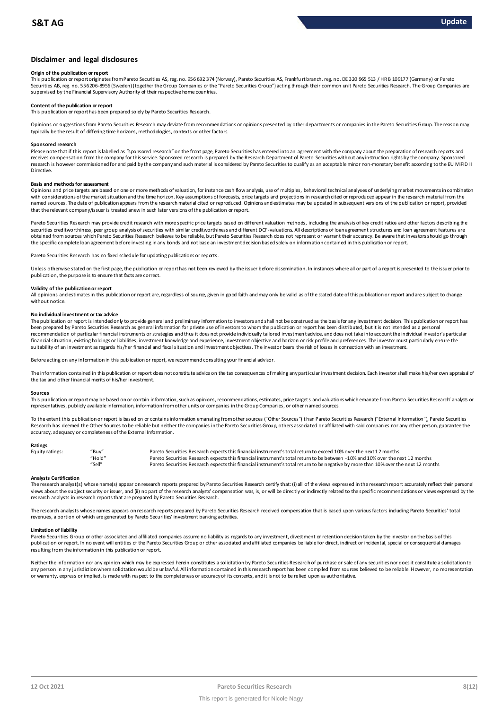## **Disclaimer and legal disclosures**

#### **Origin of the publication or report**

This publication or report originates from Pareto Securities AS, reg. no. 956 632 374 (Norway), Pareto Securities AS, Frankfu rt branch, reg. no. DE 320 965 513 / HR B 109177 (Germany) or Pareto Securities AB, reg. no. 556206-8956 (Sweden) (together the Group Companies or the "Pareto Securities Group") acting through their common unit Pareto Securities Research. The Group Companies are supervised by the Financial Supervisory Authority of their respective home countries.

#### **Content of the publication or report**

This publication or report has been prepared solely by Pareto Securities Research.

Opinions or suggestions from Pareto Securities Research may deviate from recommendations or opinions presented by other departments or companies in the Pareto Securities Group. The reason may typically be the result of differing time horizons, methodologies, contexts or other factors.

#### **Sponsored research**

Please note that if this report is labelled as "sponsored research" on the front page, Pareto Securities has entered into an agreement with the company about the preparation of research reports and receives compensation from the company for this service. Sponsored research is prepared by the Research Department of Pareto Securities without any instruction rights by the company. Sponsored research is however commissioned for and paid by the company and such material is considered by Pareto Securities to qualify as an acceptable minor non-monetary benefit according to the EU MiFID II Directive.

### **Basis and methods for assessment**

Opinions and price targets are based on one or more methods of valuation, for instance cash flow analysis, use of multiples, behavioral technical analyses of underlying market movements in combination with considerations of the market situation and the time horizon. Key assumptions of forecasts, price targets and projections in research cited or reproduced appear in the research material from the named sources. The date of publication appears from the research material cited or reproduced. Opinions and estimates may be updated in subsequent versions of the publication or report, provided in and social cited or repo that the relevant company/issuer is treated anew in such later versions of the publication or report.

Pareto Securities Research may provide credit research with more specific price targets based on different valuation methods, including the analysis of key credit ratios and other factors describing the securities creditworthiness, peer group analysis of securities with similar creditworthiness and different DCF-valuations. All descriptions of loan agreement structures and loan agreement features are obtained from sources which Pareto Securities Research believes to be reliable, but Pareto Securities Research does not represent or warrant their accuracy. Be aware that investors should go through the specific complete loan agreement before investing in any bonds and not base an investment decision based solely on information contained in this publication or report.

Pareto Securities Research has no fixed schedule for updating publications or reports.

Unless otherwise stated on the first page, the publication or report has not been reviewed by the issuer before dissemination. In instances where all or part of a report is presented to the issuer prior to publication, the purpose is to ensure that facts are correct.

#### **Validity of the publication or report**

All opinions and estimates in this publication or report are, regardless of source, given in good faith and may only be valid as of the stated date of this publication or report and are subject to change without notice

#### **No individual investment or tax advice**

The publication or report is intended only to provide general and preliminary information to investors and shall not be construed as the basis for any investment decision. This publication or report has been prepared by Pareto Securities Research as general information for private use of investors to whom the publication or report has been distributed, but it is not intended as a personal recommendation of particular financial instruments or strategies and thus it does not provide individually tailored investmen t advice, and does not take into account the individual investor's particular financial situation, existing holdings or liabilities, investment knowledge and experience, investment objective and horizon or risk profile and preferences. The investor must particularly ensure the suitability of an investment as regards his/her financial and fiscal situation and investment objectives. The investor bears the risk of losses in connection with an investment.

Before acting on any information in this publication or report, we recommend consulting your financial advisor.

The information contained in this publication or report does not constitute advice on the tax consequences of making any particular investment decision. Each investor shall make his/her own appraisal of the tax and other financial merits of his/her investment.

#### **Sources**

This publication or report may be based on or contain information, such as opinions, recommendations, estimates, price targets and valuations which emanate from Pareto Securities Research' analysts or representatives, publicly available information, information from other units or companies in the Group Companies, or other named sources.

To the extent this publication or report is based on or contains information emanating from other sources "Other Sources") than Pareto Securities Research ("External Information"), Pareto Securities Research has deemed the Other Sources to be reliable but neither the companies in the Pareto Securities Group, others associated or affiliated with said companies nor any other person, guarantee the accuracy, adequacy or completeness of the External Information.

#### **Ratings**

| Equity ratings: | "Buy"  | Pareto Securities Research expects this financial instrument's total return to exceed 10% over the next 12 months                   |
|-----------------|--------|-------------------------------------------------------------------------------------------------------------------------------------|
|                 | "Hold" | Pareto Securities Research expects this financial instrument's total return to be between -10% and 10% over the next 12 months      |
|                 | "Sell" | Pareto Securities Research expects this financial instrument's total return to be negative by more than 10% over the next 12 months |

Analysts Certification<br>The research analyst(s) whose name(s) appear on research reports prepared by Pareto Securities Research certify that: (i) all of the views expressed in the research report accurately reflect their pe "Hold"<br>"Pareto Securities Research expects this financial instrument's total return to be between -10% and 10% over the next 12 months<br>"Sell" Pareto Securities Research expects this financial instrument's total return to b research analysts in research reports that are prepared by Pareto Securities Research.

The research analysts whose names appears on research reports prepared by Pareto Securities Research received compensation that is based upon various factors including Pareto Securities' total revenues, a portion of which are generated by Pareto Securities' investment banking activities.

#### **Limitation of liability**

Pareto Securities Group or other associated and affiliated companies assume no liability as regards to any investment, divest ment or retention decision taken by the investor on the basis of this publication or report. In no event will entities of the Pareto Securities Group or other associated and affiliated companies be liable for direct, indirect or incidental, special or consequential damages resulting from the information in this publication or report.

Neither the information nor any opinion which may be expressed herein constitutes a solicitation by Pareto Securities Research of purchase or sale of any securities nor does it constitute a solicitation to any person in any jurisdiction where solicitation would be unlawful. All information contained in this research report has been compiled from sources believed to be reliable. However, no representation or warranty, express or implied, is made with respect to the completeness or accuracy of its contents, and it is not to be relied upon as authoritative.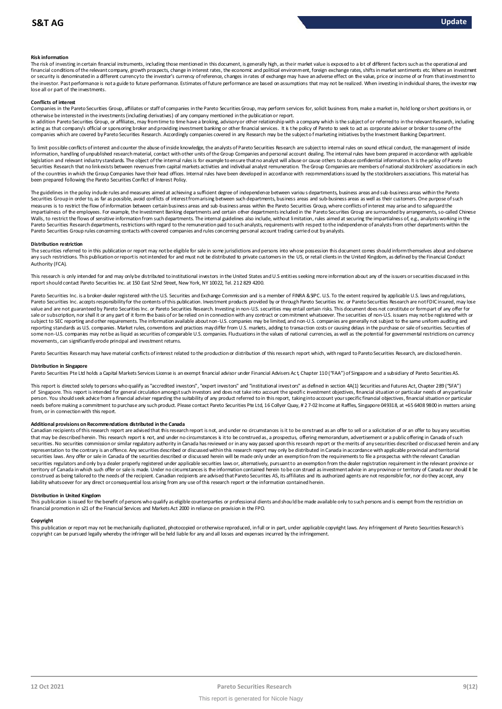#### **Risk information**

The risk of investing in certain financial instruments, including those mentioned in this document, is generally high, as their market value is exposed to a lot of different factors such as the operational and financial conditions of the relevant company, growth prospects, change in interest rates, the economic and political environment, foreign exchange rates, shifts in market sentiments etc. Where an investment or security is denominated in a different currency to the investor's currency of reference, changes in rates of exchange may have an adverse effect on the value, price or income of or from that investment to the investor. Past performance is not a guide to future performance. Estimates of future performance are based on assumptions that may not be realized. When investing in individual shares, the investor may lose all or part of the investments.

#### **Conflicts of interest**

Companies in the Pareto Securities Group, affiliates or staff of companies in the Pareto Securities Group, may perform services for, solicit business from, make a market in, hold long or short positions in, or otherwise be interested in the investments (including derivatives) of any company mentioned in the publication or report.

In addition Pareto Securities Group, or affiliates, may from time to time have a broking, advisory or other relationship with a company which is the subject of or referred to in the relevant Research, including acting as that company's official or sponsoring broker and providing investment banking or other financial services. It is the policy of Pareto to seek to act as corporate adviser or broker to some of the companies which are covered by Pareto Securities Research. Accordingly companies covered in any Research may be the subject o f marketing initiatives by the Investment Banking Department.

To limit possible conflicts of interest and counter the abuse of inside knowledge, the analysts of Pareto Securities Research are subject to internal rules on sound ethical conduct, the management of inside<br>information, ha legislation and relevant industry standards. The object of the internal rules is for example to ensure that no analyst will abuse or cause others to abuse confidential information. It is the policy of Pareto Securities Research that no link exists between revenues from capital markets activities and individual analyst remuneration. The Group Companies are members of national stockbrokers' associations in each of the countries in which the Group Companies have their head offices. Internal rules have been developed in accordance with recommendations issued by the stockbrokers associations. This material has been prepared following the Pareto Securities Conflict of Interest Policy.

The guidelines in the policy indude rules and measures aimed at achieving a sufficient degree of independence between variou s departments, business areas and sub-business areas within the Pareto<br>Securities Group in order measures is to restrict the flow of information between certain business areas and sub-business areas within the Pareto Securities Group, where conflicts of interest may arise and to safeguard the impartialness of the empl The guidelines in the policy indude rules and measures aimed at achieving a sufficient degree of independence between various departments, business areas and sub-business areas within the Pareto<br>Securities Group in order t Walls, to restrict the flows of sensitive information from such departments. The internal guidelines also include, without limitation, rules aimed at securing the impartialness of, e.g., analysts working in the<br>Pareto Secu Pareto Securities Group rules concerning contacts with covered companies and rules concerning personal account trading carried out by analysts.

#### **Distribution restriction**

The securities referred to in this publication or report may not be eligible for sale in some jurisdictions and persons into whose possession this document comes should inform themselves about and observe Pareto Securities Group rules concerning contacts with covered companies and rules concerning personal account trading carried out by analysts.<br>Distribution restriction<br>The securities referred to in this publication or rep Authority (FCA).

This research is only intended for and may only be distributed to institutional investors in the United States and U.S entities seeking more information about any of the issuers or securities discussed in this report should contact Pareto Securities Inc. at 150 East 52nd Street, New York, NY 10022, Tel. 212 829 4200.

Pareto Securities Inc. is a broker-dealer registered with the U.S. Securities and Exchange Commission and is a member of FINRA & SIPC. U.S. To the extent required by applicable U.S. laws and regulations, Pareto Securities Inc. accepts responsibility for the contents of this publication. Investment products provided by or through Pareto Securities Inc. or Pareto Securities Research are not FDIC insured, may lose value and are not guaranteed by Pareto Securities Inc. or Pareto Securities Research. Investing in non-U.S. securities may entail certain risks. This document does not constitute or form part of any offer for sale or subscription, nor shall it or any part of it form the basis of or be relied on in connection with any contract or commitment whatsoever. The securities of non-U.S. issuers may not be registered with or subject to SEC reporting and other requirements. The information available about non-U.S. companies may be limited, and non-U.S. companies are generally not subject to the same uniform auditing and reporting standards as U.S. companies. Market rules, conventions and practices may differ from U.S. markets, adding to transaction costs or causing delays in the purchase or sale of securities. Securities of some non-U.S. companies may not be as liquid as securities of comparable U.S. companies. Fluctuations in the values of national currencies, as well as the potential for governmental restrictions on currency movements, can significantly erode principal and investment returns.

Pareto Securities Research may have material conflicts of interest related to the production or distribution of this research report which, with regard to Pareto Securities Research, are disclosed herein.

#### **Distribution in Singapore**

Pareto Securities Pte Ltd holds a Capital Markets Services License is an exempt financial advisor under Financial Advisers Act, Chapter 110 ("FAA") of Singapore and a subsidiary of Pareto Securities AS.

This report is directed solely to persons who qualify as "accredited investors", "expert investors" and "institutional investors" as defined in section 4A(1) Securities and Futures Act, Chapter 289 ("SFA") o f Singapore. This report is intended for general circulation amongst such investors and does not take into account the specific investment objectives, financial situation or particular needs of any particular person. You should seek advice from a financial adviser regarding the suitability of any product referred to in this report, taking into account your specific financial objectives, financial situation or particular needs before making a commitment to purchase any such product. Please contact Pareto Securities Pte Ltd, 16 Collyer Quay, # 2 7-02 Income at Raffles, Singapore 049318, at +65 6408 9800 in matters arising from, or in connection with this report.

Additional provisions on Recommendations distributed in the Canada<br>Canadian recipients of this research report are advised that this research report is not, and under no drecumstances is it to be construed as an offer to s needs before making a commitment to purchase any such product. Please contact Pareto Securities Pte Ltd, 16 Collyer Quay, #2 7-02 Income at Raffles, Singapore 049318, at +65 6408 9800 in matters arisi<br>from, or in connectio from, or in connection with this report.<br>Additional provisions on Recommendations distributed in the Canada<br>Canadian recipients of this research report are advised that this research report is not, and under no circumstanc securities. No securities commission or similar regulatory authority in Canada has reviewed or in any way passed upon this research report or the merits of any securities described or discussed herein and any representation to the contrary is an offence. Any securities described or discussed within this research report may only be distributed in Canada in accordance with applicable provincial and territorial<br>securities laws. An securities regulators and only by a dealer properly registered under applicable securities laws or, alternatively, pursuant to an exemption from the dealer registration requirement in the relevant province or territory of Canada in which such offer or sale is made. Under no circumstances is the information contained herein to be con strued as investment advice in any province or territory of Canada nor should it be<br>construed as liability whatsoever for any direct or consequential loss arising from any use of this research report or the information contained herein.

Distribution in United Kingdom<br>This publication is issued for the benefit of persons who qualify as eligible counterparties or professional dients and should be made available only to such persons and is exempt from the re financial promotion in s21 of the Financial Services and Markets Act 2000 in reliance on provision in the FPO.

Copyright<br>This publication or report may not be mechanically duplicated, photocopied or otherwise reproduced, in full or in part, under applicable copyright laws. Any infringement of Pareto Securities Research's copyright can be pursued legally whereby the infringer will be held liable for any and all losses and expenses incurred by the infringement.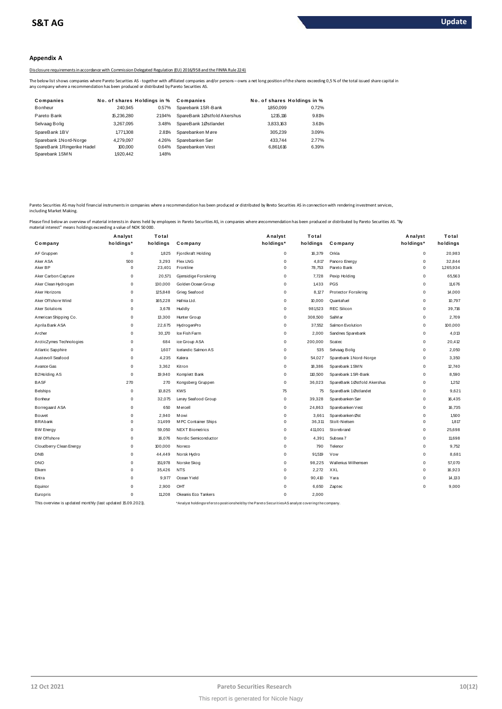### **Appendix A**

Disclosure requirements in accordance with Commission Delegated Regulation (EU) 2016/958 and the FINRA Rule 2241

The below list shows companies where Pareto Securities AS - together with affiliated companies and/or persons – owns a net long position of the shares exceeding 0,5 % of the total issued share capital in<br>any company where

|                                                                                             |                             |        | 002411 isclosure requirements in accordance with Commission Delegated Regulation (EU) 2016/958 and the FINRA Rule                                                 |                             |       |
|---------------------------------------------------------------------------------------------|-----------------------------|--------|-------------------------------------------------------------------------------------------------------------------------------------------------------------------|-----------------------------|-------|
| ny company where a recommendation has been produced or distributed by Pareto Securities AS. |                             |        | he below list shows companies where Pareto Securities AS - together with affiliated companies and/or persons - owns a net long position of the shares exceeding ( |                             |       |
| Companies                                                                                   | No. of shares Holdings in % |        | Companies                                                                                                                                                         | No. of shares Holdings in % |       |
| <b>Bonheur</b>                                                                              | 240.945                     | 0.57%  | Sparebank 1SR-Bank                                                                                                                                                | 1850.099                    | 0.72% |
| Pareto Bank                                                                                 | 15.236.280                  | 21.94% | SpareBank 1Østfold Akershus                                                                                                                                       | 1.215.116                   | 9.81% |
| Selvaag Bolig                                                                               | 3.267.095                   | 3.48%  | SpareBank 1Østlandet                                                                                                                                              | 3.833.163                   | 3.61% |
| SpareBank 1BV                                                                               | 1.771.308                   | 2.81%  | Sparebanken Møre                                                                                                                                                  | 305.239                     | 3.09% |
| Sparebank 1Nord-Norge                                                                       | 4.279.097                   | 4.26%  | Sparebanken Sør                                                                                                                                                   | 433.744                     | 2.77% |
| SpareBank 1Ringerike Hadel                                                                  | 100,000                     | 0.64%  | Sparebanken Vest                                                                                                                                                  | 6,861,616                   | 6.39% |
| Sparebank 1SMN                                                                              | 1,920,442                   | 1.48%  |                                                                                                                                                                   |                             |       |

Pareto Securities AS may hold financial instruments in companies where a recommendation has been produced or distributed by Breto Securities AS in connection with rendering investment services,<br>including Market Making.

|                                                             | Analyst     | Total    |                                                                                                    | Analyst     | Total    |                             | Analyst     | Total     |
|-------------------------------------------------------------|-------------|----------|----------------------------------------------------------------------------------------------------|-------------|----------|-----------------------------|-------------|-----------|
| Company                                                     | holdings*   | holdings | Company                                                                                            | holdings*   | holdings | Company                     | holdings*   | holdings  |
| AF Gruppen                                                  | $\mathbf 0$ | 1,825    | Fjordkraft Holding                                                                                 | 0           | 16,379   | Orkla                       | 0           | 20,983    |
| Aker ASA                                                    | 500         | 3,293    | <b>Flex LNG</b>                                                                                    | 0           | 4,817    | Panoro Energy               | 0           | 32,844    |
| Aker BP                                                     | 0           | 23,401   | Frontline                                                                                          | $\mathbf 0$ | 78,753   | Pareto Bank                 | 0           | 1,265,934 |
| Aker Carbon Capture                                         | 0           | 20,571   | Gjensidige Forsikring                                                                              | $\mathbf 0$ | 7.728    | Pexip Holding               | 0           | 65,563    |
| Aker Clean Hydrogen                                         | 0           | 130,000  | Golden Ocean Group                                                                                 | 0           | 1,433    | <b>PGS</b>                  | 0           | 11,676    |
| Aker Horizons                                               | 0           | 125,848  | Grieg Seafood                                                                                      | 0           | 8.127    | <b>Protector Forsikring</b> | 0           | 14,000    |
| Aker Offshore Wind                                          | 0           | 165,228  | Hafnia Ltd.                                                                                        | 0           | 10,000   | Quantafuel                  | 0           | 10,797    |
| <b>Aker Solutions</b>                                       | 0           | 3,678    | Huddly                                                                                             | $\mathbf 0$ | 981,523  | <b>REC Silicon</b>          | 0           | 39,716    |
| American Shipping Co.                                       | 0           | 13,300   | Hunter Group                                                                                       | 0           | 308,500  | SalM ar                     | 0           | 2,709     |
| Aprila Bank ASA                                             | $\mathbf 0$ | 22,675   | HydrogenPro                                                                                        | $\mathbf 0$ | 37,552   | Salmon Evolution            | $\mathbf 0$ | 100,000   |
| Archer                                                      | $\mathbf 0$ | 30,170   | Ice Fish Farm                                                                                      | 0           | 2,000    | Sandnes Sparebank           | 0           | 4,013     |
| ArcticZymes Technologies                                    | 0           | 684      | ice Group ASA                                                                                      | $\mathbf 0$ | 200,000  | <b>Scatec</b>               | 0           | 20,412    |
| Atlantic Sapphire                                           | 0           | 1,607    | Icelandic Salmon AS                                                                                | 0           | 535      | Selvaag Bolig               | 0           | 2,050     |
| Austevoll Seafood                                           | 0           | 4,235    | Kalera                                                                                             | 0           | 54,027   | Sparebank 1 Nord-Norge      | 0           | 3,350     |
| Avance Gas                                                  | 0           | 3,362    | Kitron                                                                                             | 0           | 18,386   | Sparebank 1 SMN             | 0           | 12,740    |
| B2Holding AS                                                | 0           | 19,940   | Komplett Bank                                                                                      | 0           | 110,500  | Sparebank 1SR-Bank          | 0           | 8,590     |
| <b>BASF</b>                                                 | 270         | 270      | Kongsberg Gruppen                                                                                  | 0           | 36,023   | SpareBank 1Østfold Akershus | 0           | 1,252     |
| <b>Belships</b>                                             | 0           | 10,825   | <b>KWS</b>                                                                                         | 75          | 75       | SpareBank 1Østlandet        | 0           | 9,621     |
| Bonheur                                                     | $\mathbf 0$ | 32,075   | Lerøy Seafood Group                                                                                | $\mathbf 0$ | 39,328   | Sparebanken Sør             | 0           | 16,435    |
| Borregaard ASA                                              | 0           | 650      | M ercell                                                                                           | 0           | 24,863   | Sparebanken Vest            | 0           | 16,735    |
| Bouvet                                                      | $\mathbf 0$ | 2.940    | Mowi                                                                                               | 0           | 3,661    | Sparebanken Øst             | 0           | 1,500     |
| <b>BRAbank</b>                                              | $\mathbf 0$ | 31,499   | M PC Container Ships                                                                               | $\mathbf 0$ | 36,311   | Stolt-Nielser               | 0           | 1.817     |
| <b>BW Energy</b>                                            | $\mathbf 0$ | 59,050   | <b>NEXT Biometrics</b>                                                                             | 0           | 411,001  | Storebrand                  | 0           | 25,698    |
| <b>BW Offshore</b>                                          | $\mathbf 0$ | 16,076   | Nordic Semiconductor                                                                               | $\mathbf 0$ | 4,391    | Subsea 7                    | $\mathbf 0$ | 11,698    |
| Cloudberry Clean Energy                                     | 0           | 100,000  | Noreco                                                                                             | 0           | 790      | Telenor                     | 0           | 9,752     |
| <b>DNB</b>                                                  | $\mathbf 0$ | 44,449   | Norsk Hydro                                                                                        | $\mathbf 0$ | 91.519   | Vow                         | $\mathbf 0$ | 8,681     |
| <b>DNO</b>                                                  | $\mathbf 0$ | 151,978  | Norske Skog                                                                                        | $\mathbf 0$ | 98,225   | Wallenius Wilhemsen         | 0           | 57,070    |
| Elkem                                                       | $\mathbf 0$ | 35,426   | <b>NTS</b>                                                                                         | 0           | 2,272    | XXL                         | 0           | 16,923    |
| Entra                                                       | $\mathbf 0$ | 9,977    | Ocean Yield                                                                                        | $\mathbf 0$ | 90,410   | Yara                        | 0           | 14,133    |
| Equinor                                                     | $\mathbf 0$ | 2,900    | OHT                                                                                                | 0           | 6,650    | Zaptec                      | 0           | 9,000     |
| Europris                                                    | $\mathbf 0$ | 11.208   | Okeanis Eco Tankers                                                                                | 0           | 2,000    |                             |             |           |
| This overview is updated monthly (last updated 15.09.2021). |             |          | *Analyst holdings referst opositionsheld by the Pareto Securities AS analyst covering the company. |             |          |                             |             |           |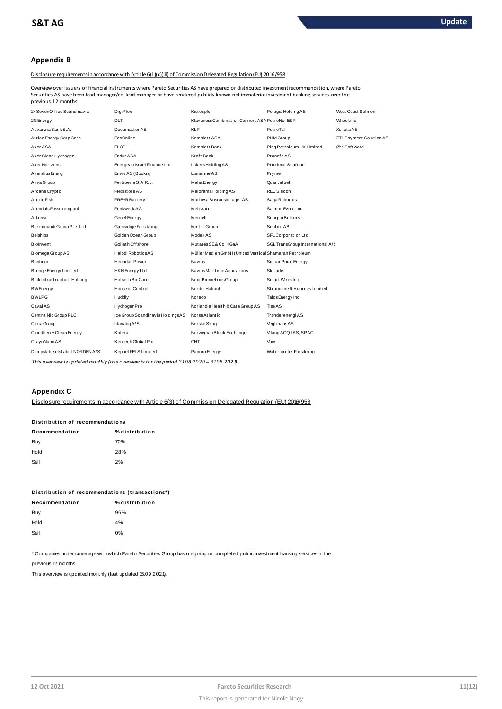# **Appendix B**

### Disclosure requirements in accordance with Article 6(1)(c)(iii) of Commission Delegated Regulation (EU) 2016/958

Overview over issuers of financial instruments where Pareto Securities AS have prepared or distributed investment recommendation, where Pareto Securities AS have been lead manager/co-lead manager or have rendered publidy known not immaterial investment banking services over the previous 12 months:

| 24SevenOffice Scandinavia     | <b>DigiPlex</b>                  | Kistosplc.                                             | Pelagia Holding AS               | West Coast Salmon       |
|-------------------------------|----------------------------------|--------------------------------------------------------|----------------------------------|-------------------------|
| 2G Energy                     | <b>DLT</b>                       | Klaveness Combination Carriers ASA PetroNor E&P        |                                  | Wheel.me                |
| Advanzia Bank S.A.            | Documaster AS                    | KLP                                                    | PetroTal                         | XenetaAS                |
| Africa Energy Corp Corp       | <b>EcoOnline</b>                 | Komplett ASA                                           | PHM Group                        | ZTL Payment Solution AS |
| Aker ASA                      | <b>ELOP</b>                      | Komplett Bank                                          | Ping Pet roleum UK Limited       | Ørn Software            |
| Aker Clean Hydrogen           | Endur ASA                        | Kraft Bank                                             | PronofaAS                        |                         |
| Aker Horizons                 | Energean Israel Finance Ltd.     | LakersHoldingAS                                        | Proximar Seafood                 |                         |
| Akershus Energi               | Enviv AS (Bookis)                | Lumarine AS                                            | Pryme                            |                         |
| Akva Group                    | Fertiberia S.A.R.L.              | Maha Energy                                            | Quant af uel                     |                         |
| Arcane Crypto                 | <b>Flexistore AS</b>             | Malorama Holding AS                                    | <b>REC Silicon</b>               |                         |
| Arctic Fish                   | <b>FREYR Battery</b>             | Mathesa Bost adsbolaget AB                             | Saga Robotics                    |                         |
| ArendalsFossekompani          | Funkwerk AG                      | <b>Meltwater</b>                                       | Salmon Evolution                 |                         |
| Attensi                       | Genel Energy                     | Mercell                                                | Scorpio Bulkers                  |                         |
| Barramundi Group Pte. Ltd.    | Gjensidige Forsikring            | Mintra Group                                           | Seafire AB                       |                         |
| <b>Belships</b>               | Golden Ocean Group               | Modex AS                                               | SFL Corporation Ltd              |                         |
| <b>Biolnvent</b>              | Goliath Offshore                 | MutaresSE& Co. KGaA                                    | SGL TransGroup International A/S |                         |
| Biomega Group AS              | Halodi RoboticsAS                | Müller Medien GmbH (United Vertical Shamaran Petroleum |                                  |                         |
| Bonheur                       | <b>Heimdall Power</b>            | Navios                                                 | Siccar Point Energy              |                         |
| Brooge Energy Limited         | HKN Energy Ltd                   | Navios Maritime Aquisitions                            | <b>Skitude</b>                   |                         |
| Bulk Infrastructure Holding   | Hof set h BioCare                | Next BiometricsGroup                                   | Smart WiresInc.                  |                         |
| <b>BWEnergy</b>               | House of Control                 | Nordic Halibut                                         | Strandline Resources Limited     |                         |
| <b>BWLPG</b>                  | Huddly                           | Noreco                                                 | Talos Energy Inc                 |                         |
| Cavai AS                      | HydrogenPro                      | Norlandia Health & Care Group AS                       | Tise AS                          |                         |
| CentralNic Group PLC          | Ice Group Scandinavia HoldingsAS | Norse Atlantic                                         | Trønderenergi AS                 |                         |
| Circa Group                   | Idavang A/S                      | Norske Skog                                            | VegfinansAS                      |                         |
| Cloudberry Clean Energy       | Kalera                           | Norwegian Block Exchange                               | Viking ACQ1AS, SPAC              |                         |
| CrayoNano AS                  | Kentech Global Plc               | OHT                                                    | Vow                              |                         |
| Dampskibsselskabet NORDEN A/S | Keppel FELS Limited              | Panoro Energy                                          | WatercirclesForsikring           |                         |

This overview is updated monthly (this overview is for the period 31.08.2020 - 31.08.2021).

# **Appendix C**

Disclosure requirements in accordance with Article 6(3) of Commission Delegated Requlation (EU) 2016/958

# Distribution of recommendations

| Recommendation | % distribution |
|----------------|----------------|
| Buy            | 70%            |
| Hold           | 28%            |
| Sell           | 2%             |

|                | Distribution of recommendations (transactions*) |
|----------------|-------------------------------------------------|
| Recommendation | % distribution                                  |

| Buy  | 96% |
|------|-----|
| Hold | 4%  |
| Sell | 0%  |

\* Companies under coverage with which Pareto Securities Group has on-going or completed public investment banking services in the

previous 12 months.

This overview is updated monthly (last updated 15.09.2021).